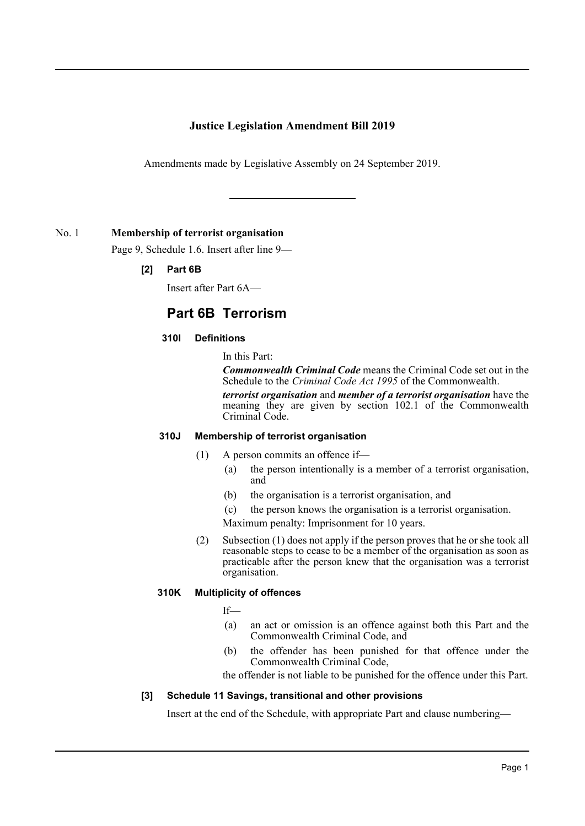## **Justice Legislation Amendment Bill 2019**

Amendments made by Legislative Assembly on 24 September 2019.

### No. 1 **Membership of terrorist organisation**

Page 9, Schedule 1.6. Insert after line 9—

### **[2] Part 6B**

Insert after Part 6A—

# **Part 6B Terrorism**

#### **310I Definitions**

In this Part:

*Commonwealth Criminal Code* means the Criminal Code set out in the Schedule to the *Criminal Code Act 1995* of the Commonwealth.

*terrorist organisation* and *member of a terrorist organisation* have the meaning they are given by section 102.1 of the Commonwealth Criminal Code.

#### **310J Membership of terrorist organisation**

- (1) A person commits an offence if—
	- (a) the person intentionally is a member of a terrorist organisation, and
	- (b) the organisation is a terrorist organisation, and
	- (c) the person knows the organisation is a terrorist organisation.

Maximum penalty: Imprisonment for 10 years.

(2) Subsection (1) does not apply if the person proves that he or she took all reasonable steps to cease to be a member of the organisation as soon as practicable after the person knew that the organisation was a terrorist organisation.

#### **310K Multiplicity of offences**

If—

- (a) an act or omission is an offence against both this Part and the Commonwealth Criminal Code, and
- (b) the offender has been punished for that offence under the Commonwealth Criminal Code,

the offender is not liable to be punished for the offence under this Part.

#### **[3] Schedule 11 Savings, transitional and other provisions**

Insert at the end of the Schedule, with appropriate Part and clause numbering—